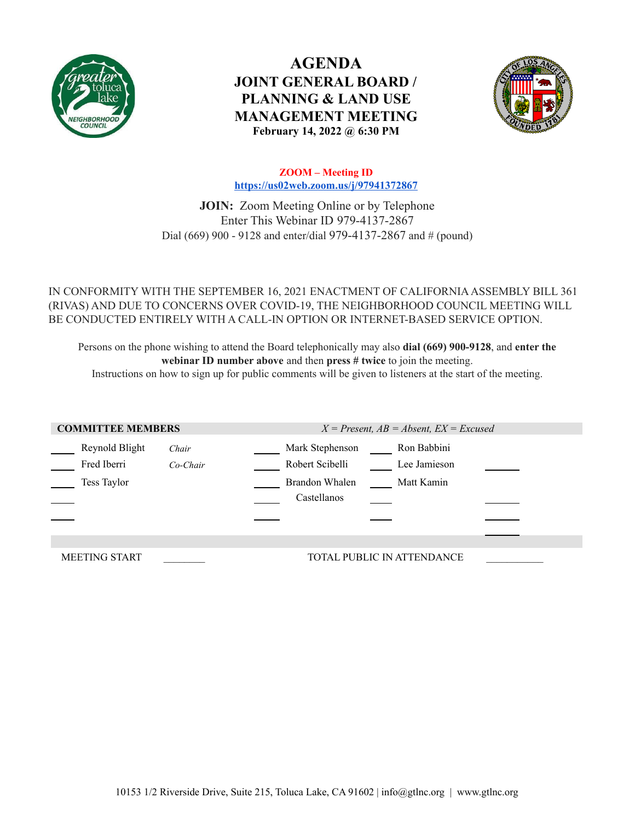

**AGENDA JOINT GENERAL BOARD / PLANNING & LAND USE MANAGEMENT MEETING February 14, 2022 @ 6:30 PM**



**ZOOM – Meeting ID <https://us02web.zoom.us/j/97941372867>**

**JOIN:** Zoom Meeting Online or by Telephone Enter This Webinar ID 979-4137-2867 Dial (669) 900 - 9128 and enter/dial 979-4137-2867 and # (pound)

IN CONFORMITY WITH THE SEPTEMBER 16, 2021 ENACTMENT OF CALIFORNIAASSEMBLY BILL 361 (RIVAS) AND DUE TO CONCERNS OVER COVID-19, THE NEIGHBORHOOD COUNCIL MEETING WILL BE CONDUCTED ENTIRELY WITH A CALL-IN OPTION OR INTERNET-BASED SERVICE OPTION.

Persons on the phone wishing to attend the Board telephonically may also **dial (669) 900-9128**, and **enter the webinar ID number above** and then **press # twice** to join the meeting.

Instructions on how to sign up for public comments will be given to listeners at the start of the meeting.

| <b>COMMITTEE MEMBERS</b>                     |                     | $X = Present, AB = Absent, EX = Excused$                                                                         |
|----------------------------------------------|---------------------|------------------------------------------------------------------------------------------------------------------|
| Reynold Blight<br>Fred Iberri<br>Tess Taylor | Chair<br>$Co-Chair$ | Mark Stephenson<br>Ron Babbini<br>Robert Scibelli<br>Lee Jamieson<br>Brandon Whalen<br>Matt Kamin<br>Castellanos |
|                                              |                     |                                                                                                                  |
| <b>MEETING START</b>                         |                     | TOTAL PUBLIC IN ATTENDANCE                                                                                       |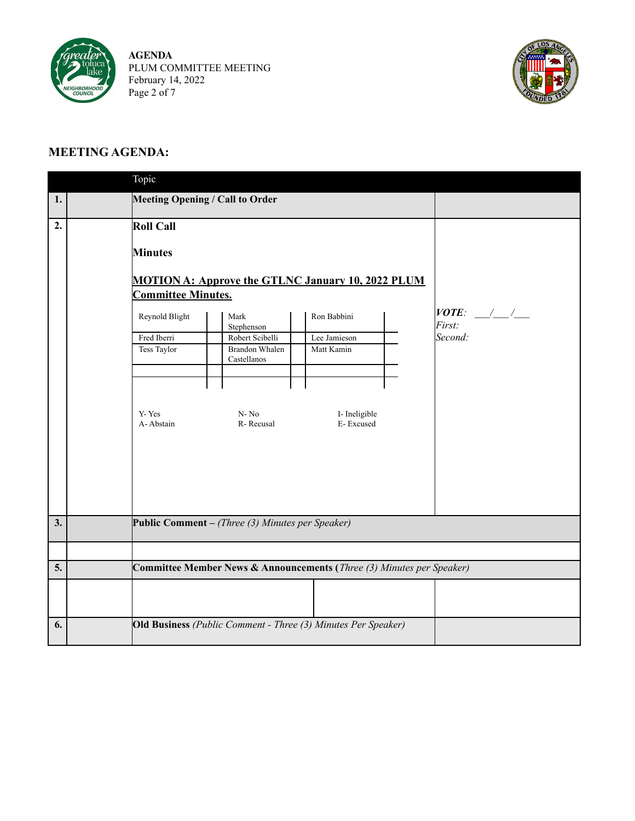

**AGENDA** PLUM COMMITTEE MEETING February 14, 2022 Page 2 of 7



## **MEETING AGENDA:**

|    | Topic                                                                                                                          |                                                                                                 |                                                                                                                                     |                                      |
|----|--------------------------------------------------------------------------------------------------------------------------------|-------------------------------------------------------------------------------------------------|-------------------------------------------------------------------------------------------------------------------------------------|--------------------------------------|
| 1. | Meeting Opening / Call to Order                                                                                                |                                                                                                 |                                                                                                                                     |                                      |
| 2. | Roll Call<br><b>Minutes</b><br><b>Committee Minutes.</b><br>Reynold Blight<br>Fred Iberri<br>Tess Taylor<br>Y-Yes<br>A-Abstain | Mark<br>Stephenson<br>Robert Scibelli<br>Brandon Whalen<br>Castellanos<br>$N - No$<br>R-Recusal | <b>MOTION A: Approve the GTLNC January 10, 2022 PLUM</b><br>Ron Babbini<br>Lee Jamieson<br>Matt Kamin<br>I- Ineligible<br>E-Excused | $VOTE:$ $/$ $/$<br>First:<br>Second: |
| 3. | Public Comment – (Three $(3)$ Minutes per Speaker)                                                                             |                                                                                                 |                                                                                                                                     |                                      |
|    |                                                                                                                                |                                                                                                 |                                                                                                                                     |                                      |
|    |                                                                                                                                |                                                                                                 |                                                                                                                                     |                                      |
| 5. |                                                                                                                                |                                                                                                 | Committee Member News & Announcements (Three (3) Minutes per Speaker)                                                               |                                      |
|    |                                                                                                                                |                                                                                                 |                                                                                                                                     |                                      |
| 6. | Old Business (Public Comment - Three (3) Minutes Per Speaker)                                                                  |                                                                                                 |                                                                                                                                     |                                      |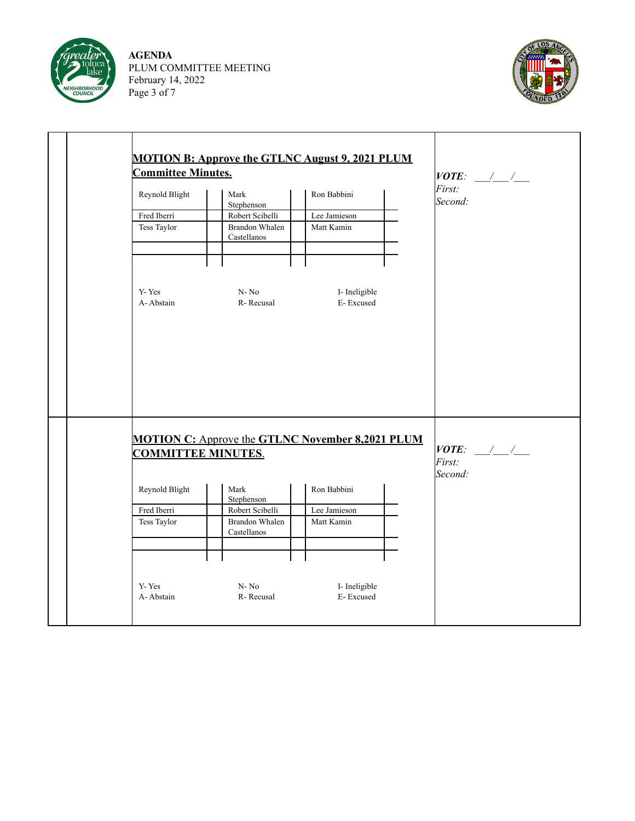

**AGENDA** PLUM COMMITTEE MEETING February 14, 2022 Page 3 of 7



| <b>Committee Minutes.</b> | <b>MOTION B: Approve the GTLNC August 9, 2021 PLUM</b> | $VOTE:$ $\frac{1}{2}$ $\frac{1}{2}$                     |                                  |
|---------------------------|--------------------------------------------------------|---------------------------------------------------------|----------------------------------|
| Reynold Blight            | Mark<br>Stephenson                                     | Ron Babbini                                             | First:<br>Second:                |
| Fred Iberri               | Robert Scibelli                                        | Lee Jamieson                                            |                                  |
| Tess Taylor               | <b>Brandon Whalen</b><br>Castellanos                   | Matt Kamin                                              |                                  |
| Y-Yes                     | $N \rm No$                                             | I- Ineligible                                           |                                  |
| A-Abstain                 | R-Recusal                                              | E-Excused                                               |                                  |
|                           |                                                        |                                                         |                                  |
|                           |                                                        | <b>MOTION C:</b> Approve the GTLNC November 8,2021 PLUM |                                  |
| <b>COMMITTEE MINUTES.</b> |                                                        |                                                         | $VOTE:$ / /<br>First:<br>Second: |
|                           | Mark                                                   | Ron Babbini                                             |                                  |
| Reynold Blight            | Stephenson                                             |                                                         |                                  |
| Fred Iberri               | Robert Scibelli                                        | Lee Jamieson                                            |                                  |
| Tess Taylor               | Brandon Whalen<br>Castellanos                          | Matt Kamin                                              |                                  |
|                           |                                                        |                                                         |                                  |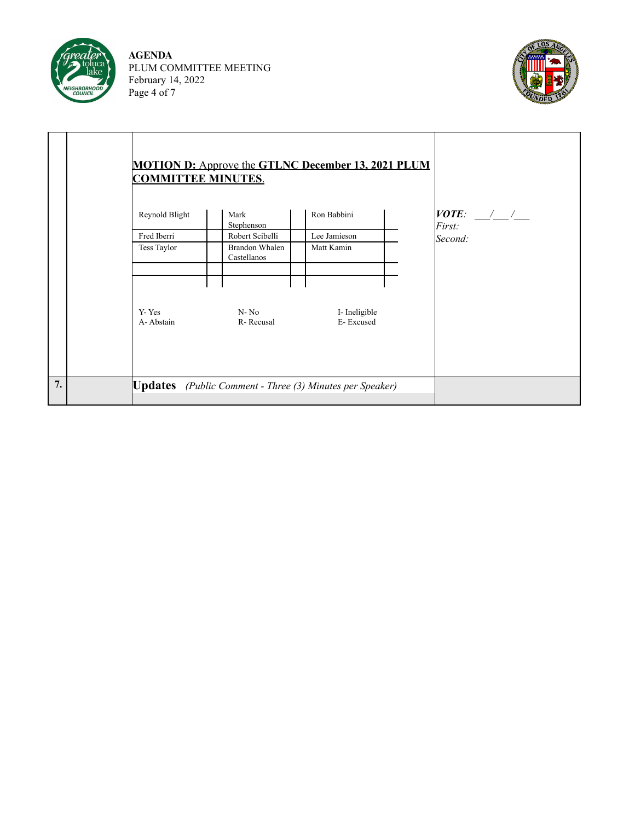

**AGENDA** PLUM COMMITTEE MEETING February 14, 2022 Page 4 of 7



|    | <b>MOTION D:</b> Approve the GTLNC December 13, 2021 PLUM<br><b>COMMITTEE MINUTES.</b> |                                      |                                                                 |                       |
|----|----------------------------------------------------------------------------------------|--------------------------------------|-----------------------------------------------------------------|-----------------------|
|    | Reynold Blight                                                                         | Mark<br>Stephenson                   | Ron Babbini                                                     | $VOTE:$ / /<br>First: |
|    | Fred Iberri                                                                            | Robert Scibelli                      | Lee Jamieson                                                    | Second:               |
|    | Tess Taylor                                                                            | <b>Brandon Whalen</b><br>Castellanos | Matt Kamin                                                      |                       |
|    |                                                                                        |                                      |                                                                 |                       |
|    | Y-Yes<br>A-Abstain                                                                     | $N - No$<br>R-Recusal                | I-Ineligible<br>E-Excused                                       |                       |
| 7. |                                                                                        |                                      | <b>Updates</b> (Public Comment - Three (3) Minutes per Speaker) |                       |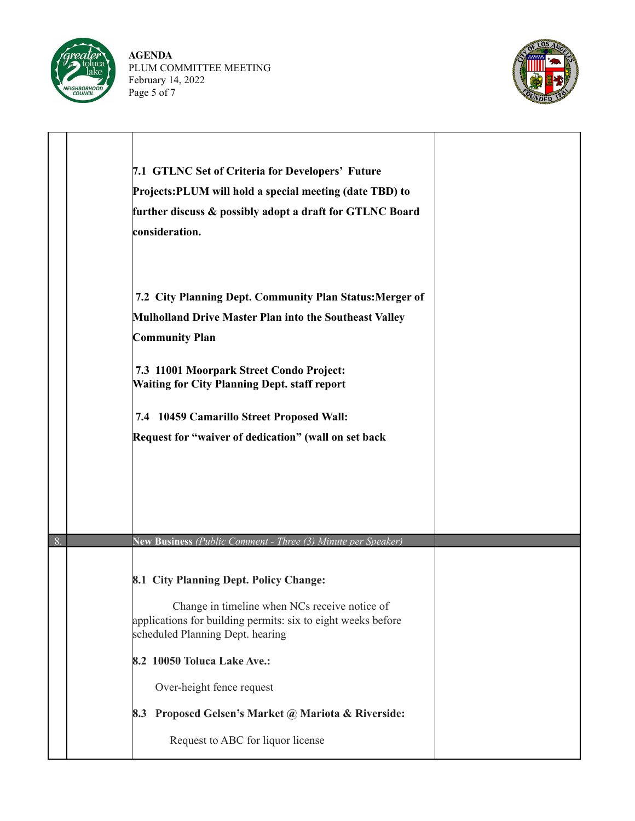

**AGENDA** PLUM COMMITTEE MEETING February 14, 2022 Page 5 of 7



|    | 7.1 GTLNC Set of Criteria for Developers' Future<br>Projects: PLUM will hold a special meeting (date TBD) to<br>further discuss & possibly adopt a draft for GTLNC Board<br>consideration.                                                                                                                                                          |  |
|----|-----------------------------------------------------------------------------------------------------------------------------------------------------------------------------------------------------------------------------------------------------------------------------------------------------------------------------------------------------|--|
|    | 7.2 City Planning Dept. Community Plan Status: Merger of<br>Mulholland Drive Master Plan into the Southeast Valley<br><b>Community Plan</b><br>7.3 11001 Moorpark Street Condo Project:<br><b>Waiting for City Planning Dept. staff report</b><br>7.4 10459 Camarillo Street Proposed Wall:<br>Request for "waiver of dedication" (wall on set back |  |
| 8. | New Business (Public Comment - Three (3) Minute per Speaker)                                                                                                                                                                                                                                                                                        |  |
|    | 8.1 City Planning Dept. Policy Change:<br>Change in timeline when NCs receive notice of<br>applications for building permits: six to eight weeks before<br>scheduled Planning Dept. hearing<br>8.2 10050 Toluca Lake Ave.:<br>Over-height fence request<br>8.3 Proposed Gelsen's Market @ Mariota & Riverside:<br>Request to ABC for liquor license |  |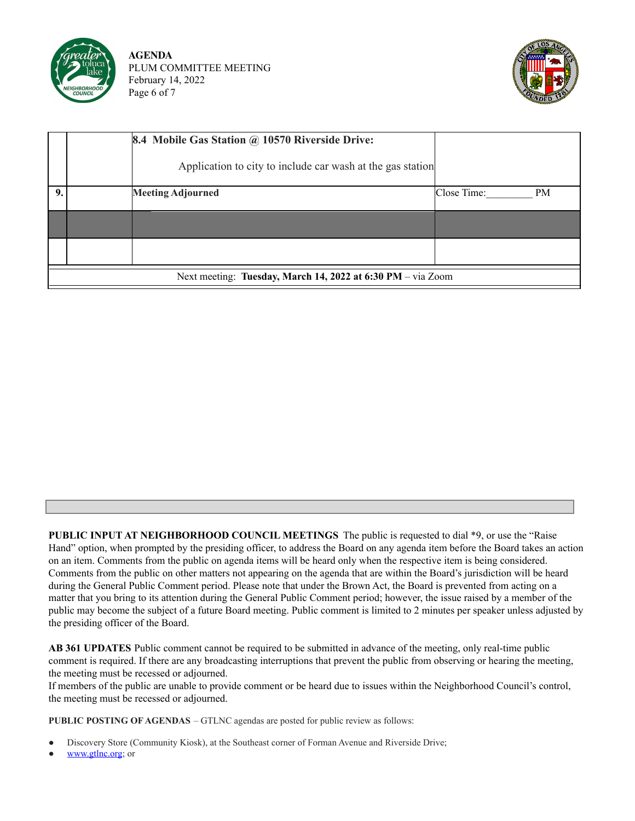

**AGENDA** PLUM COMMITTEE MEETING February 14, 2022 Page 6 of 7



|    |                                                             | <b>8.4 Mobile Gas Station @ 10570 Riverside Drive:</b><br>Application to city to include car wash at the gas station |                          |  |  |
|----|-------------------------------------------------------------|----------------------------------------------------------------------------------------------------------------------|--------------------------|--|--|
| 9. |                                                             | <b>Meeting Adjourned</b>                                                                                             | Close Time:<br><b>PM</b> |  |  |
|    |                                                             |                                                                                                                      |                          |  |  |
|    |                                                             |                                                                                                                      |                          |  |  |
|    | Next meeting: Tuesday, March 14, 2022 at 6:30 PM – via Zoom |                                                                                                                      |                          |  |  |

**PUBLIC INPUT AT NEIGHBORHOOD COUNCIL MEETINGS** The public is requested to dial \*9, or use the "Raise Hand" option, when prompted by the presiding officer, to address the Board on any agenda item before the Board takes an action on an item. Comments from the public on agenda items will be heard only when the respective item is being considered. Comments from the public on other matters not appearing on the agenda that are within the Board's jurisdiction will be heard during the General Public Comment period. Please note that under the Brown Act, the Board is prevented from acting on a matter that you bring to its attention during the General Public Comment period; however, the issue raised by a member of the public may become the subject of a future Board meeting. Public comment is limited to 2 minutes per speaker unless adjusted by the presiding officer of the Board.

**AB 361 UPDATES** Public comment cannot be required to be submitted in advance of the meeting, only real-time public comment is required. If there are any broadcasting interruptions that prevent the public from observing or hearing the meeting, the meeting must be recessed or adjourned.

If members of the public are unable to provide comment or be heard due to issues within the Neighborhood Council's control, the meeting must be recessed or adjourned.

**PUBLIC POSTING OF AGENDAS** – GTLNC agendas are posted for public review as follows:

- Discovery Store (Community Kiosk), at the Southeast corner of Forman Avenue and Riverside Drive;
- [www.gtlnc.org](http://www.gtlnc.org); or